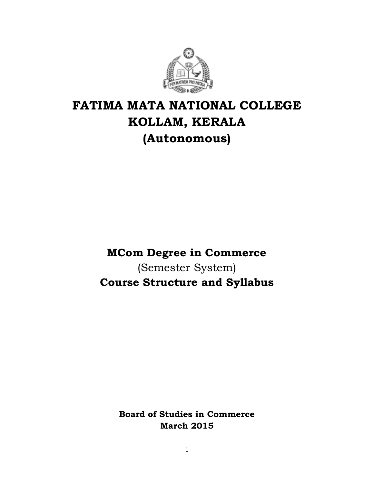

# **FATIMA MATA NATIONAL COLLEGE KOLLAM, KERALA (Autonomous)**

**MCom Degree in Commerce** (Semester System) **Course Structure and Syllabus**

> **Board of Studies in Commerce March 2015**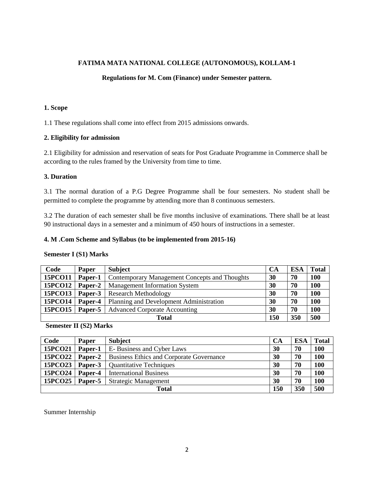#### **FATIMA MATA NATIONAL COLLEGE (AUTONOMOUS), KOLLAM-1**

#### **Regulations for M. Com (Finance) under Semester pattern.**

#### **1. Scope**

1.1 These regulations shall come into effect from 2015 admissions onwards.

#### **2. Eligibility for admission**

2.1 Eligibility for admission and reservation of seats for Post Graduate Programme in Commerce shall be according to the rules framed by the University from time to time.

#### **3. Duration**

3.1 The normal duration of a P.G Degree Programme shall be four semesters. No student shall be permitted to complete the programme by attending more than 8 continuous semesters.

3.2 The duration of each semester shall be five months inclusive of examinations. There shall be at least 90 instructional days in a semester and a minimum of 450 hours of instructions in a semester.

#### **4. M .Com Scheme and Syllabus (to be implemented from 2015-16)**

#### **Semester I (S1) Marks**

| Code         | <b>Paper</b> | <b>Subject</b>                                | <b>CA</b> | <b>ESA</b> | <b>Total</b> |
|--------------|--------------|-----------------------------------------------|-----------|------------|--------------|
| 15PCO11      | Paper-1      | Contemporary Management Concepts and Thoughts | 30        | 70         | <b>100</b>   |
| 15PCO12      | Paper-2      | <b>Management Information System</b>          | 30        | 70         | 100          |
| 15PCO13      | Paper-3      | <b>Research Methodology</b>                   | 30        | 70         | 100          |
| 15PCO14      | Paper-4      | Planning and Development Administration       | 30        | 70         | 100          |
| 15PCO15      | Paper-5      | <b>Advanced Corporate Accounting</b>          | 30        | 70         | 100          |
| <b>Total</b> |              |                                               | 150       | 350        | 500          |

#### **Semester II (S2) Marks**

| Code           | Paper   | <b>Subject</b>                                  | <b>CA</b> | <b>ESA</b> | Total |
|----------------|---------|-------------------------------------------------|-----------|------------|-------|
| 15PCO21        | Paper-1 | E-Business and Cyber Laws                       | 30        | 70         | 100   |
| <b>15PCO22</b> | Paper-2 | <b>Business Ethics and Corporate Governance</b> | 30        | 70         | 100   |
| 15PCO23        | Paper-3 | <b>Quantitative Techniques</b>                  | 30        | 70         | 100   |
| 15PCO24        | Paper-4 | <b>International Business</b>                   | 30        | 70         | 100   |
| 15PCO25        | Paper-5 | <b>Strategic Management</b>                     | 30        | 70         | 100   |
| <b>Total</b>   |         |                                                 | 150       | 350        | 500   |

Summer Internship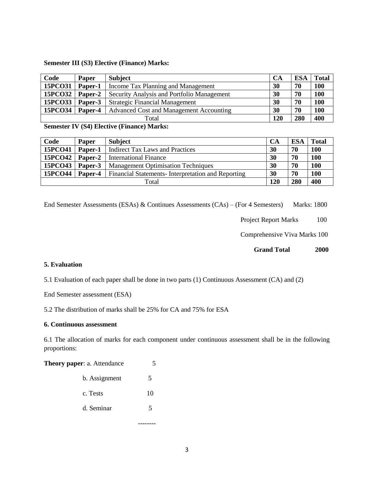#### **Semester III (S3) Elective (Finance) Marks:**

| Code           | <b>Paper</b> | <b>Subject</b>                             | <b>CA</b> | <b>ESA</b> | <b>Total</b> |
|----------------|--------------|--------------------------------------------|-----------|------------|--------------|
| 15PCO31        | Paper-1      | Income Tax Planning and Management         | 30        | 70         | 100          |
| <b>15PCO32</b> | Paper-2      | Security Analysis and Portfolio Management | 30        | 70         | 100          |
| 15PCO33        | Paper-3      | <b>Strategic Financial Management</b>      | 30        | 70         | 100          |
| 15PCO34        | Paper-4      | Advanced Cost and Management Accounting    | 30        | 70         | 100          |
| Total          |              |                                            | 120       | 280        | 400          |

**Semester IV (S4) Elective (Finance) Marks:**

| Code    | <b>Paper</b> | <b>Subject</b>                                    | <b>CA</b> | <b>ESA</b> | <b>Total</b> |
|---------|--------------|---------------------------------------------------|-----------|------------|--------------|
| 15PCO41 | Paper-1      | <b>Indirect Tax Laws and Practices</b>            | 30        | 70         | 100          |
| 15PCO42 | Paper-2      | International Finance                             | 30        | 70         | <b>100</b>   |
| 15PCO43 | Paper-3      | <b>Management Optimisation Techniques</b>         | 30        | 70         | 100          |
| 15PCO44 | Paper-4      | Financial Statements-Interpretation and Reporting | 30        | 70         | <b>100</b>   |
| Total   |              |                                                   | 120       | 280        | 400          |

End Semester Assessments (ESAs) & Continues Assessments (CAs) – (For 4 Semesters) Marks: 1800

Project Report Marks 100

Comprehensive Viva Marks 100

 **Grand Total 2000**

#### **5. Evaluation**

5.1 Evaluation of each paper shall be done in two parts (1) Continuous Assessment (CA) and (2)

End Semester assessment (ESA)

5.2 The distribution of marks shall be 25% for CA and 75% for ESA

#### **6. Continuous assessment**

6.1 The allocation of marks for each component under continuous assessment shall be in the following proportions:

**Theory paper: a. Attendance** 5

| b. Assignment |    |
|---------------|----|
| c. Tests      | 10 |
| d. Seminar    |    |
|               |    |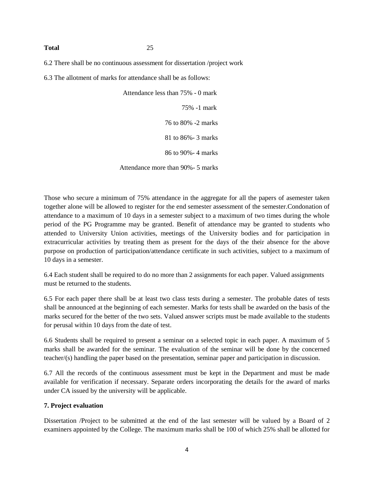#### **Total** 25

6.2 There shall be no continuous assessment for dissertation /project work

6.3 The allotment of marks for attendance shall be as follows:

 Attendance less than 75% - 0 mark 75% -1 mark 76 to 80% -2 marks 81 to 86%- 3 marks 86 to 90%- 4 marks Attendance more than 90%- 5 marks

Those who secure a minimum of 75% attendance in the aggregate for all the papers of asemester taken together alone will be allowed to register for the end semester assessment of the semester.Condonation of attendance to a maximum of 10 days in a semester subject to a maximum of two times during the whole period of the PG Programme may be granted. Benefit of attendance may be granted to students who attended to University Union activities, meetings of the University bodies and for participation in extracurricular activities by treating them as present for the days of the their absence for the above purpose on production of participation/attendance certificate in such activities, subject to a maximum of 10 days in a semester.

6.4 Each student shall be required to do no more than 2 assignments for each paper. Valued assignments must be returned to the students.

6.5 For each paper there shall be at least two class tests during a semester. The probable dates of tests shall be announced at the beginning of each semester. Marks for tests shall be awarded on the basis of the marks secured for the better of the two sets. Valued answer scripts must be made available to the students for perusal within 10 days from the date of test.

6.6 Students shall be required to present a seminar on a selected topic in each paper. A maximum of 5 marks shall be awarded for the seminar. The evaluation of the seminar will be done by the concerned teacher/(s) handling the paper based on the presentation, seminar paper and participation in discussion.

6.7 All the records of the continuous assessment must be kept in the Department and must be made available for verification if necessary. Separate orders incorporating the details for the award of marks under CA issued by the university will be applicable.

#### **7. Project evaluation**

Dissertation /Project to be submitted at the end of the last semester will be valued by a Board of 2 examiners appointed by the College. The maximum marks shall be 100 of which 25% shall be allotted for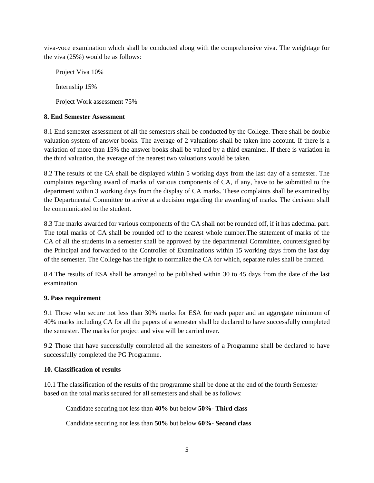viva-voce examination which shall be conducted along with the comprehensive viva. The weightage for the viva (25%) would be as follows:

 Project Viva 10% Internship 15% Project Work assessment 75%

#### **8. End Semester Assessment**

8.1 End semester assessment of all the semesters shall be conducted by the College. There shall be double valuation system of answer books. The average of 2 valuations shall be taken into account. If there is a variation of more than 15% the answer books shall be valued by a third examiner. If there is variation in the third valuation, the average of the nearest two valuations would be taken.

8.2 The results of the CA shall be displayed within 5 working days from the last day of a semester. The complaints regarding award of marks of various components of CA, if any, have to be submitted to the department within 3 working days from the display of CA marks. These complaints shall be examined by the Departmental Committee to arrive at a decision regarding the awarding of marks. The decision shall be communicated to the student.

8.3 The marks awarded for various components of the CA shall not be rounded off, if it has adecimal part. The total marks of CA shall be rounded off to the nearest whole number.The statement of marks of the CA of all the students in a semester shall be approved by the departmental Committee, countersigned by the Principal and forwarded to the Controller of Examinations within 15 working days from the last day of the semester. The College has the right to normalize the CA for which, separate rules shall be framed.

8.4 The results of ESA shall be arranged to be published within 30 to 45 days from the date of the last examination.

### **9. Pass requirement**

9.1 Those who secure not less than 30% marks for ESA for each paper and an aggregate minimum of 40% marks including CA for all the papers of a semester shall be declared to have successfully completed the semester. The marks for project and viva will be carried over.

9.2 Those that have successfully completed all the semesters of a Programme shall be declared to have successfully completed the PG Programme.

#### **10. Classification of results**

10.1 The classification of the results of the programme shall be done at the end of the fourth Semester based on the total marks secured for all semesters and shall be as follows:

Candidate securing not less than **40%** but below **50%**- **Third class**

Candidate securing not less than **50%** but below **60%**- **Second class**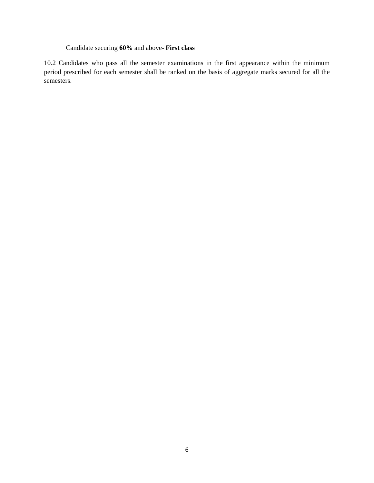# Candidate securing **60%** and above- **First class**

10.2 Candidates who pass all the semester examinations in the first appearance within the minimum period prescribed for each semester shall be ranked on the basis of aggregate marks secured for all the semesters.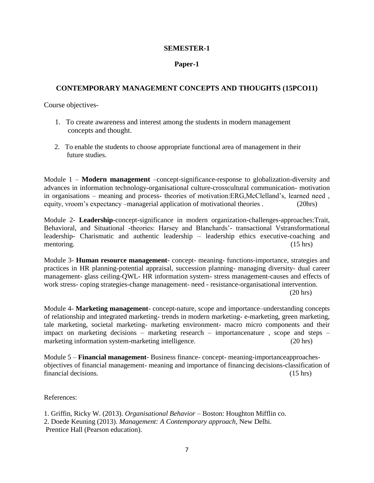#### **SEMESTER-1**

#### **Paper-1**

#### **CONTEMPORARY MANAGEMENT CONCEPTS AND THOUGHTS (15PCO11)**

Course objectives-

- 1. To create awareness and interest among the students in modern management concepts and thought.
- 2. To enable the students to choose appropriate functional area of management in their future studies.

Module 1 – **Modern management** –concept-significance-response to globalization-diversity and advances in information technology-organisational culture-crosscultural communication- motivation in organisations – meaning and process- theories of motivation:ERG,McClelland's, learned need , equity, vroom's expectancy –managerial application of motivational theories . (20hrs)

Module 2- **Leadership-**concept-significance in modern organization-challenges-approaches:Trait, Behavioral, and Situational -theories: Harsey and Blanchards'- transactional Vstransformational leadership- Charismatic and authentic leadership – leadership ethics executive-coaching and mentoring. (15 hrs) (15 hrs)

Module 3- **Human resource management**- concept- meaning- functions-importance, strategies and practices in HR planning-potential appraisal, succession planning- managing diversity- dual career management- glass ceiling-QWL- HR information system- stress management-causes and effects of work stress- coping strategies-change management- need - resistance-organisational intervention. (20 hrs)

Module 4- **Marketing management**- concept-nature, scope and importance–understanding concepts of relationship and integrated marketing- trends in modern marketing- e-marketing, green marketing, tale marketing, societal marketing- marketing environment- macro micro components and their impact on marketing decisions – marketing research – importancenature , scope and steps – marketing information system-marketing intelligence. (20 hrs)

Module 5 – **Financial management**- Business finance- concept- meaning-importanceapproachesobjectives of financial management- meaning and importance of financing decisions-classification of financial decisions. (15 hrs) (15 hrs)

References:

1. Griffin, Ricky W. (2013). *Organisational Behavior* – Boston: Houghton Mifflin co. 2. Doede Keuning (2013). *Management: A Contemporary approach*, New Delhi. Prentice Hall (Pearson education).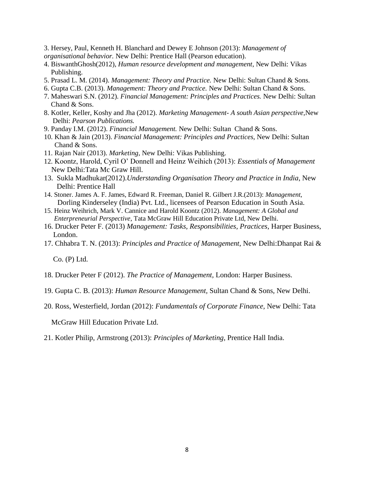3. Hersey, Paul, Kenneth H. Blanchard and Dewey E Johnson (2013): *Management of organisational behavior.* New Delhi: Prentice Hall (Pearson education).

- 4. BiswanthGhosh(2012), *Human resource development and management*, New Delhi: Vikas Publishing.
- 5. Prasad L. M. (2014). *Management: Theory and Practice.* New Delhi: Sultan Chand & Sons.
- 6. Gupta C.B. (2013). *Management: Theory and Practice.* New Delhi: Sultan Chand & Sons.
- 7. Maheswari S.N. (2012). *Financial Management: Principles and Practices.* New Delhi: Sultan Chand & Sons.
- 8. Kotler, Keller, Koshy and Jha (2012). *Marketing Management- A south Asian perspective,*New Delhi: *Pearson Publications.*
- 9. Panday I.M. (2012). *Financial Management.* New Delhi: Sultan Chand & Sons.
- 10. Khan & Jain (2013). *Financial Management: Principles and Practices,* New Delhi: Sultan Chand & Sons.
- 11. Rajan Nair (2013). *Marketing,* New Delhi: Vikas Publishing.
- 12. Koontz, Harold, Cyril O' Donnell and Heinz Weihich (2013): *Essentials of Management* New Delhi:Tata Mc Graw Hill.
- 13. Sukla Madhukar(2012).*Understanding Organisation Theory and Practice in India*, New Delhi: Prentice Hall
- 14. Stoner. James A. F. James, Edward R. Freeman, Daniel R. Gilbert J.R.(2013): *Management*, Dorling Kinderseley (India) Pvt. Ltd., licensees of Pearson Education in South Asia.
- 15. Heinz Weihrich, Mark V. Cannice and Harold Koontz (2012). *Management: A Global and Enterpreneurial Perspective*, Tata McGraw Hill Education Private Ltd, New Delhi.
- 16. Drucker Peter F. (2013) *Management: Tasks, Responsibilities, Practices*, Harper Business, London.
- 17. Chhabra T. N. (2013): *Principles and Practice of Management*, New Delhi:Dhanpat Rai &

Co. (P) Ltd.

- 18. Drucker Peter F (2012). *The Practice of Management,* London: Harper Business.
- 19. Gupta C. B. (2013): *Human Resource Management,* Sultan Chand & Sons, New Delhi.
- 20. Ross, Westerfield, Jordan (2012): *Fundamentals of Corporate Finance,* New Delhi: Tata

McGraw Hill Education Private Ltd.

21. Kotler Philip, Armstrong (2013): *Principles of Marketing*, Prentice Hall India.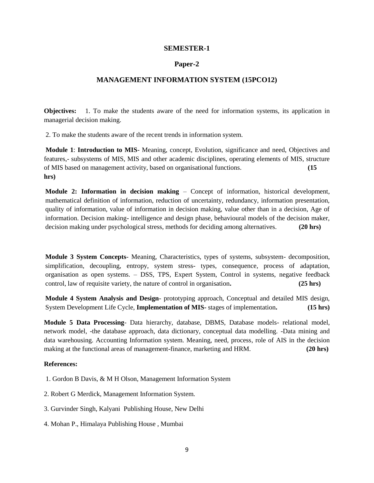#### **SEMESTER-1**

#### **Paper-2**

#### **MANAGEMENT INFORMATION SYSTEM (15PCO12)**

**Objectives:** 1. To make the students aware of the need for information systems, its application in managerial decision making.

2. To make the students aware of the recent trends in information system.

**Module 1**: **Introduction to MIS**- Meaning, concept, Evolution, significance and need, Objectives and features,- subsystems of MIS, MIS and other academic disciplines, operating elements of MIS, structure of MIS based on management activity, based on organisational functions. **(15 hrs)**

**Module 2: Information in decision making** – Concept of information, historical development, mathematical definition of information, reduction of uncertainty, redundancy, information presentation, quality of information, value of information in decision making, value other than in a decision, Age of information. Decision making- intelligence and design phase, behavioural models of the decision maker, decision making under psychological stress, methods for deciding among alternatives. **(20 hrs)**

**Module 3 System Concepts**- Meaning, Characteristics, types of systems, subsystem- decomposition, simplification, decoupling, entropy, system stress- types, consequence, process of adaptation, organisation as open systems. – DSS, TPS, Expert System, Control in systems, negative feedback control, law of requisite variety, the nature of control in organisation**. (25 hrs)**

**Module 4 System Analysis and Design**- prototyping approach, Conceptual and detailed MIS design, System Development Life Cycle, **Implementation of MIS-** stages of implementation**. (15 hrs)** 

**Module 5 Data Processing**- Data hierarchy, database, DBMS, Database models- relational model, network model, -the database approach, data dictionary, conceptual data modelling. -Data mining and data warehousing. Accounting Information system. Meaning, need, process, role of AIS in the decision making at the functional areas of management-finance, marketing and HRM. **(20 hrs) (20 hrs)** 

#### **References:**

1. Gordon B Davis, & M H Olson, Management Information System

2. Robert G Merdick, Management Information System.

3. Gurvinder Singh, Kalyani Publishing House, New Delhi

4. Mohan P., Himalaya Publishing House , Mumbai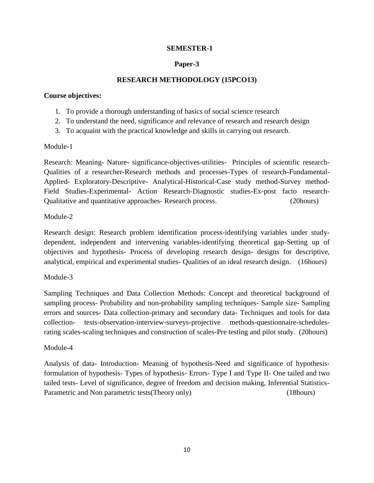# **SEMESTER-1**

# **Paper-3**

# **RESEARCH METHODOLOGY (15PCO13)**

#### **Course objectives:**

- 1. To provide a thorough understanding of basics of social science research
- 2. To understand the need, significance and relevance of research and research design
- 3. To acquaint with the practical knowledge and skills in carrying out research.

### Module-1

Research: Meaning- Nature- significance-objectives-utilities- Principles of scientific research-Qualities of a researcher-Research methods and processes-Types of research-Fundamental-Applied- Exploratory-Descriptive- Analytical-Historical-Case study method-Survey method-Field Studies-Experimental- Action Research-Diagnostic studies-Ex-post facto research-Qualitative and quantitative approaches- Research process. (20hours)

### Module-2

Research design: Research problem identification process-identifying variables under studydependent, independent and intervening variables-identifying theoretical gap-Setting up of objectives and hypothesis- Process of developing research design- designs for descriptive, analytical, empirical and experimental studies- Qualities of an ideal research design. (16hours)

### Module-3

Sampling Techniques and Data Collection Methods: Concept and theoretical background of sampling process- Probability and non-probability sampling techniques- Sample size- Sampling errors and sources- Data collection-primary and secondary data- Techniques and tools for data collection- tests-observation-interview-surveys-projective methods-questionnaire-schedulesrating scales-scaling techniques and construction of scales-Pre testing and pilot study. (20hours)

### Module-4

Analysis of data- Introduction- Meaning of hypothesis-Need and significance of hypothesisformulation of hypothesis- Types of hypothesis- Errors- Type I and Type II- One tailed and two tailed tests- Level of significance, degree of freedom and decision making, Inferential Statistics-Parametric and Non parametric tests(Theory only) (18hours)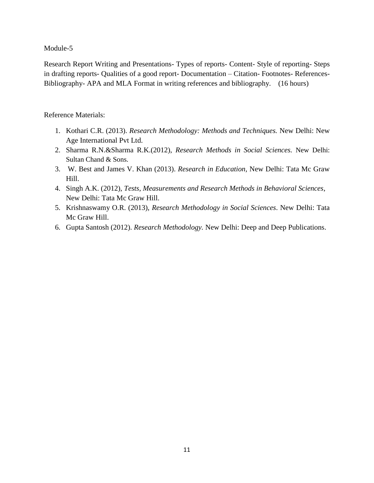Module-5

Research Report Writing and Presentations- Types of reports- Content- Style of reporting- Steps in drafting reports- Qualities of a good report- Documentation – Citation- Footnotes- References-Bibliography- APA and MLA Format in writing references and bibliography. (16 hours)

# Reference Materials:

- 1. Kothari C.R. (2013). *Research Methodology: Methods and Techniques.* New Delhi: New Age International Pvt Ltd.
- 2. Sharma R.N.&Sharma R.K.(2012), *Research Methods in Social Sciences.* New Delhi: Sultan Chand & Sons.
- 3. W. Best and James V. Khan (2013). *Research in Education,* New Delhi: Tata Mc Graw Hill.
- 4. Singh A.K. (2012), *Tests, Measurements and Research Methods in Behavioral Sciences*, New Delhi: Tata Mc Graw Hill.
- 5. Krishnaswamy O.R. (2013), *Research Methodology in Social Sciences*. New Delhi: Tata Mc Graw Hill.
- 6. Gupta Santosh (2012). *Research Methodology.* New Delhi: Deep and Deep Publications.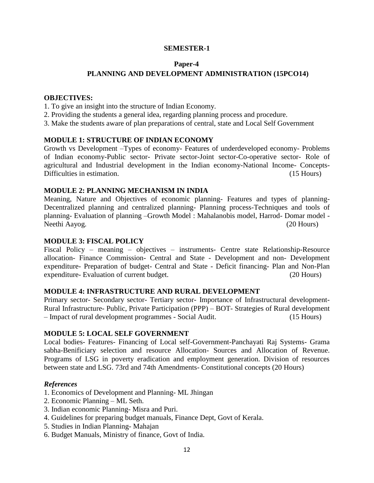# **SEMESTER-1**

#### **Paper-4**

# **PLANNING AND DEVELOPMENT ADMINISTRATION (15PCO14)**

#### **OBJECTIVES:**

- 1. To give an insight into the structure of Indian Economy.
- 2. Providing the students a general idea, regarding planning process and procedure.
- 3. Make the students aware of plan preparations of central, state and Local Self Government

### **MODULE 1: STRUCTURE OF INDIAN ECONOMY**

Growth vs Development –Types of economy- Features of underdeveloped economy- Problems of Indian economy-Public sector- Private sector-Joint sector-Co-operative sector- Role of agricultural and Industrial development in the Indian economy-National Income- Concepts-Difficulties in estimation. (15 Hours)

#### **MODULE 2: PLANNING MECHANISM IN INDIA**

Meaning, Nature and Objectives of economic planning- Features and types of planning-Decentralized planning and centralized planning- Planning process-Techniques and tools of planning- Evaluation of planning –Growth Model : Mahalanobis model, Harrod- Domar model - Neethi Aayog. (20 Hours)

#### **MODULE 3: FISCAL POLICY**

Fiscal Policy – meaning – objectives – instruments- Centre state Relationship-Resource allocation- Finance Commission- Central and State - Development and non- Development expenditure- Preparation of budget- Central and State - Deficit financing- Plan and Non-Plan expenditure- Evaluation of current budget. (20 Hours)

### **MODULE 4: INFRASTRUCTURE AND RURAL DEVELOPMENT**

Primary sector- Secondary sector- Tertiary sector- Importance of Infrastructural development-Rural Infrastructure- Public, Private Participation (PPP) – BOT- Strategies of Rural development – Impact of rural development programmes - Social Audit. (15 Hours)

#### **MODULE 5: LOCAL SELF GOVERNMENT**

Local bodies- Features- Financing of Local self-Government-Panchayati Raj Systems- Grama sabha-Benificiary selection and resource Allocation- Sources and Allocation of Revenue. Programs of LSG in poverty eradication and employment generation. Division of resources between state and LSG. 73rd and 74th Amendments- Constitutional concepts (20 Hours)

#### *References*

- 1. Economics of Development and Planning- ML Jhingan
- 2. Economic Planning ML Seth.
- 3. Indian economic Planning- Misra and Puri.
- 4. Guidelines for preparing budget manuals, Finance Dept, Govt of Kerala.
- 5. Studies in Indian Planning- Mahajan
- 6. Budget Manuals, Ministry of finance, Govt of India.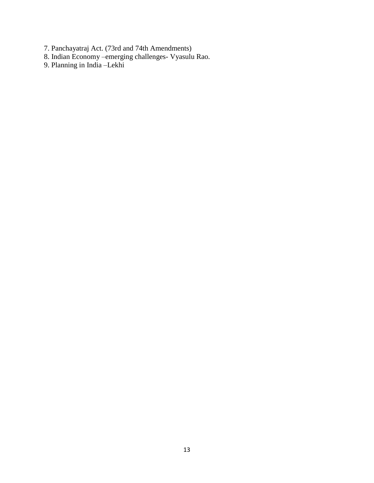- 7. Panchayatraj Act. (73rd and 74th Amendments)
- 8. Indian Economy –emerging challenges- Vyasulu Rao.
- 9. Planning in India –Lekhi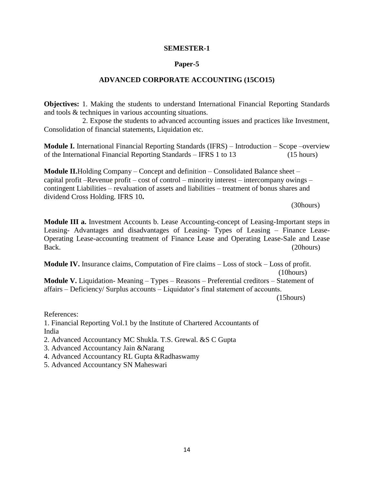#### **SEMESTER-1**

#### **Paper-5**

### **ADVANCED CORPORATE ACCOUNTING (15CO15)**

**Objectives:** 1. Making the students to understand International Financial Reporting Standards and tools & techniques in various accounting situations.

 2. Expose the students to advanced accounting issues and practices like Investment, Consolidation of financial statements, Liquidation etc.

**Module I.** International Financial Reporting Standards (IFRS) – Introduction – Scope –overview of the International Financial Reporting Standards – IFRS 1 to 13 (15 hours)

**Module II.**Holding Company – Concept and definition – Consolidated Balance sheet – capital profit –Revenue profit – cost of control – minority interest – intercompany owings – contingent Liabilities – revaluation of assets and liabilities – treatment of bonus shares and dividend Cross Holding. IFRS 10**.**

(30hours)

**Module III a.** Investment Accounts b. Lease Accounting-concept of Leasing-Important steps in Leasing- Advantages and disadvantages of Leasing- Types of Leasing – Finance Lease-Operating Lease-accounting treatment of Finance Lease and Operating Lease-Sale and Lease Back. (20hours)

**Module IV.** Insurance claims, Computation of Fire claims – Loss of stock – Loss of profit. (10hours)

**Module V.** Liquidation- Meaning – Types – Reasons – Preferential creditors – Statement of affairs – Deficiency/ Surplus accounts – Liquidator's final statement of accounts. (15hours)

References:

1. Financial Reporting Vol.1 by the Institute of Chartered Accountants of India

- 2. Advanced Accountancy MC Shukla. T.S. Grewal. &S C Gupta
- 3. Advanced Accountancy Jain &Narang
- 4. Advanced Accountancy RL Gupta &Radhaswamy
- 5. Advanced Accountancy SN Maheswari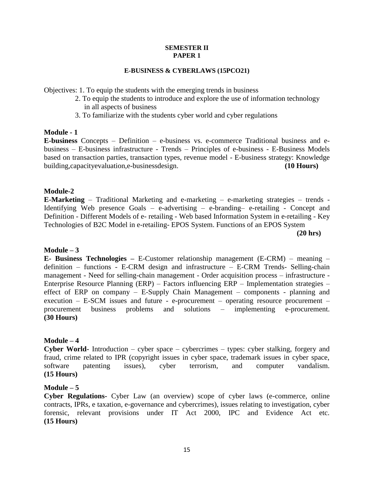#### **SEMESTER II PAPER 1**

#### **E-BUSINESS & CYBERLAWS (15PCO21)**

Objectives: 1. To equip the students with the emerging trends in business

- 2. To equip the students to introduce and explore the use of information technology in all aspects of business
- 3. To familiarize with the students cyber world and cyber regulations

#### **Module - 1**

**E-business** Concepts – Definition – e-business vs. e-commerce Traditional business and ebusiness – E-business infrastructure - Trends – Principles of e-business - E-Business Models based on transaction parties, transaction types, revenue model - E-business strategy: Knowledge building,capacityevaluation,e-businessdesign. **(10 Hours)**

### **Module-2**

**E-Marketing** – Traditional Marketing and e-marketing – e-marketing strategies – trends - Identifying Web presence Goals – e-advertising – e-branding– e-retailing - Concept and Definition - Different Models of e- retailing - Web based Information System in e-retailing - Key Technologies of B2C Model in e-retailing- EPOS System. Functions of an EPOS System

 **(20 hrs)** 

#### **Module – 3**

**E- Business Technologies –** E-Customer relationship management (E-CRM) – meaning – definition – functions - E-CRM design and infrastructure – E-CRM Trends- Selling-chain management - Need for selling-chain management - Order acquisition process – infrastructure - Enterprise Resource Planning (ERP) – Factors influencing ERP – Implementation strategies – effect of ERP on company – E-Supply Chain Management – components - planning and execution – E-SCM issues and future - e-procurement – operating resource procurement – procurement business problems and solutions – implementing e-procurement. **(30 Hours)**

#### **Module – 4**

**Cyber World-** Introduction – cyber space – cybercrimes – types: cyber stalking, forgery and fraud, crime related to IPR (copyright issues in cyber space, trademark issues in cyber space, software patenting issues), cyber terrorism, and computer vandalism. **(15 Hours)**

#### **Module – 5**

**Cyber Regulations-** Cyber Law (an overview) scope of cyber laws (e-commerce, online contracts, IPRs, e taxation, e-governance and cybercrimes), issues relating to investigation, cyber forensic, relevant provisions under IT Act 2000, IPC and Evidence Act etc. **(15 Hours)**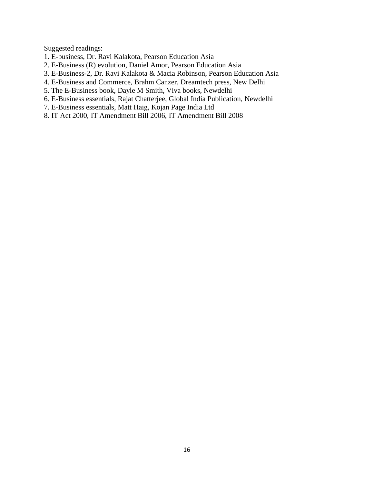Suggested readings:

- 1. E-business, Dr. Ravi Kalakota, Pearson Education Asia
- 2. E-Business (R) evolution, Daniel Amor, Pearson Education Asia
- 3. E-Business-2, Dr. Ravi Kalakota & Macia Robinson, Pearson Education Asia
- 4. E-Business and Commerce, Brahm Canzer, Dreamtech press, New Delhi
- 5. The E-Business book, Dayle M Smith, Viva books, Newdelhi
- 6. E-Business essentials, Rajat Chatterjee, Global India Publication, Newdelhi
- 7. E-Business essentials, Matt Haig, Kojan Page India Ltd
- 8. IT Act 2000, IT Amendment Bill 2006, IT Amendment Bill 2008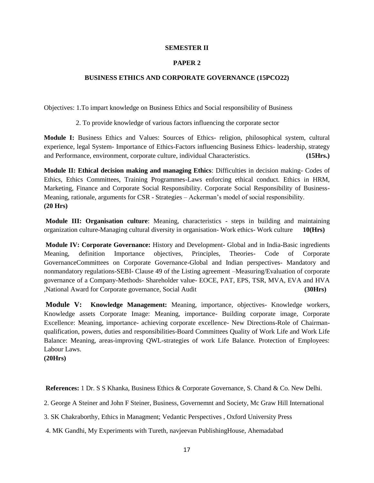#### **SEMESTER II**

#### **PAPER 2**

#### **BUSINESS ETHICS AND CORPORATE GOVERNANCE (15PCO22)**

Objectives: 1.To impart knowledge on Business Ethics and Social responsibility of Business

2. To provide knowledge of various factors influencing the corporate sector

**Module I:** Business Ethics and Values: Sources of Ethics- religion, philosophical system, cultural experience, legal System- Importance of Ethics-Factors influencing Business Ethics- leadership, strategy and Performance, environment, corporate culture, individual Characteristics. **(15Hrs.)**

**Module II: Ethical decision making and managing Ethics**: Difficulties in decision making- Codes of Ethics, Ethics Committees, Training Programmes-Laws enforcing ethical conduct. Ethics in HRM, Marketing, Finance and Corporate Social Responsibility. Corporate Social Responsibility of Business-Meaning, rationale, arguments for CSR - Strategies – Ackerman's model of social responsibility. **(20 Hrs)**

**Module III: Organisation culture**: Meaning, characteristics - steps in building and maintaining organization culture-Managing cultural diversity in organisation- Work ethics- Work culture **10(Hrs)**

**Module IV: Corporate Governance:** History and Development- Global and in India-Basic ingredients Meaning, definition Importance objectives, Principles, Theories- Code of Corporate GovernanceCommittees on Corporate Governance-Global and Indian perspectives- Mandatory and nonmandatory regulations-SEBI- Clause 49 of the Listing agreement –Measuring/Evaluation of corporate governance of a Company-Methods- Shareholder value- EOCE, PAT, EPS, TSR, MVA, EVA and HVA ,National Award for Corporate governance, Social Audit **(30Hrs)**

**Module V: Knowledge Management:** Meaning, importance, objectives- Knowledge workers, Knowledge assets Corporate Image: Meaning, importance- Building corporate image, Corporate Excellence: Meaning, importance- achieving corporate excellence- New Directions-Role of Chairmanqualification, powers, duties and responsibilities-Board Committees Quality of Work Life and Work Life Balance: Meaning, areas-improving QWL-strategies of work Life Balance. Protection of Employees: Labour Laws.

**(20Hrs)**

**References:** 1 Dr. S S Khanka, Business Ethics & Corporate Governance, S. Chand & Co. New Delhi.

2. George A Steiner and John F Steiner, Business, Governemnt and Society, Mc Graw Hill International

3. SK Chakraborthy, Ethics in Managment; Vedantic Perspectives , Oxford University Press

4. MK Gandhi, My Experiments with Tureth, navjeevan PublishingHouse, Ahemadabad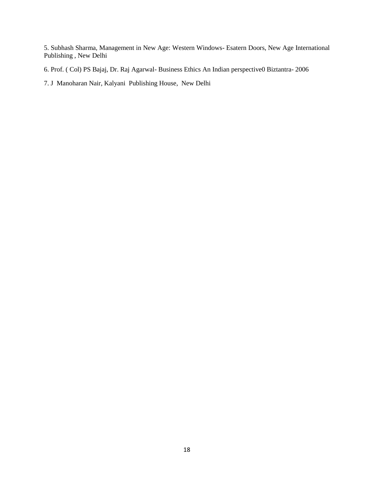5. Subhash Sharma, Management in New Age: Western Windows- Esatern Doors, New Age International Publishing , New Delhi

6. Prof. ( Col) PS Bajaj, Dr. Raj Agarwal- Business Ethics An Indian perspective0 Biztantra- 2006

7. J Manoharan Nair, Kalyani Publishing House, New Delhi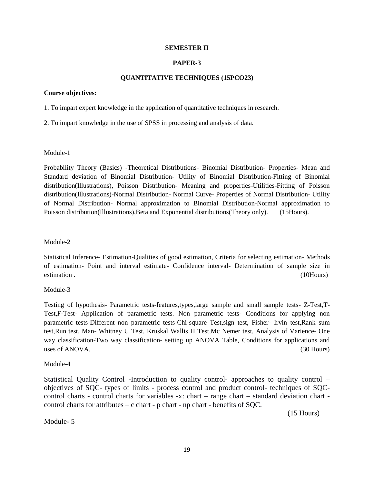#### **SEMESTER II**

#### **PAPER-3**

#### **QUANTITATIVE TECHNIQUES (15PCO23)**

#### **Course objectives:**

1. To impart expert knowledge in the application of quantitative techniques in research.

2. To impart knowledge in the use of SPSS in processing and analysis of data.

#### Module-1

Probability Theory (Basics) -Theoretical Distributions- Binomial Distribution- Properties- Mean and Standard deviation of Binomial Distribution- Utility of Binomial Distribution-Fitting of Binomial distribution(Illustrations), Poisson Distribution- Meaning and properties-Utilities-Fitting of Poisson distribution(Illustrations)-Normal Distribution- Normal Curve- Properties of Normal Distribution- Utility of Normal Distribution- Normal approximation to Binomial Distribution-Normal approximation to Poisson distribution(Illustrations),Beta and Exponential distributions(Theory only). (15Hours).

#### Module-2

Statistical Inference- Estimation-Qualities of good estimation, Criteria for selecting estimation- Methods of estimation- Point and interval estimate- Confidence interval- Determination of sample size in estimation . (10Hours)

#### Module-3

Testing of hypothesis- Parametric tests-features,types,large sample and small sample tests- Z-Test,T-Test,F-Test- Application of parametric tests. Non parametric tests- Conditions for applying non parametric tests-Different non parametric tests-Chi-square Test,sign test, Fisher- Irvin test,Rank sum test,Run test, Man- Whitney U Test, Kruskal Wallis H Test,Mc Nemer test, Analysis of Varience- One way classification-Two way classification- setting up ANOVA Table, Conditions for applications and uses of ANOVA. (30 Hours)

#### Module-4

Statistical Quality Control **-**Introduction to quality control- approaches to quality control – objectives of SQC- types of limits - process control and product control- techniques of SQCcontrol charts - control charts for variables -x: chart – range chart – standard deviation chart control charts for attributes  $-c$  chart - p chart - np chart - benefits of SQC.

(15 Hours)

Module- 5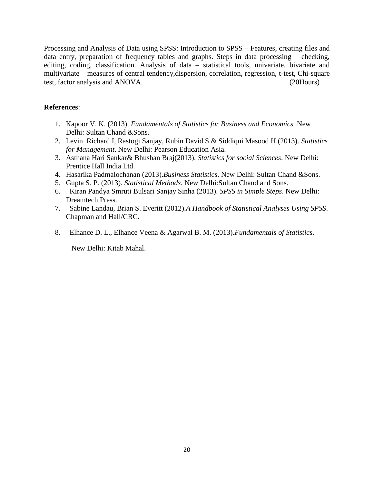Processing and Analysis of Data using SPSS: Introduction to SPSS – Features, creating files and data entry, preparation of frequency tables and graphs. Steps in data processing – checking, editing, coding, classification. Analysis of data – statistical tools, univariate, bivariate and multivariate – measures of central tendency,dispersion, correlation, regression, t-test, Chi-square test, factor analysis and ANOVA. (20Hours)

# **References**:

- 1. Kapoor V. K. (2013). *Fundamentals of Statistics for Business and Economics* .New Delhi: Sultan Chand &Sons.
- 2. Levin Richard I, Rastogi Sanjay, Rubin David S.& Siddiqui Masood H.(2013). *Statistics for Management*. New Delhi: Pearson Education Asia.
- 3. Asthana Hari Sankar& Bhushan Braj(2013). *Statistics for social Sciences*. New Delhi: Prentice Hall India Ltd.
- 4. Hasarika Padmalochanan (2013).*Business Statistics*. New Delhi: Sultan Chand &Sons.
- 5. Gupta S. P. (2013). *Statistical Methods.* New Delhi:Sultan Chand and Sons.
- 6. Kiran Pandya Smruti Bulsari Sanjay Sinha (2013). *SPSS in Simple Steps*. New Delhi: Dreamtech Press.
- 7. Sabine Landau, Brian S. Everitt (2012).*A Handbook of Statistical Analyses Using SPSS*. Chapman and Hall/CRC.
- 8. Elhance D. L., Elhance Veena & Agarwal B. M. (2013).*Fundamentals of Statistics*.

New Delhi: Kitab Mahal.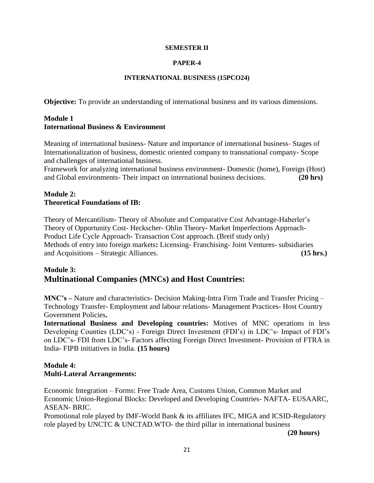#### **SEMESTER II**

### **PAPER-4**

#### **INTERNATIONAL BUSINESS (15PCO24)**

**Objective:** To provide an understanding of international business and its various dimensions.

# **Module 1 International Business & Environment**

Meaning of international business- Nature and importance of international business- Stages of Internationalization of business, domestic oriented company to transnational company- Scope and challenges of international business.

Framework for analyzing international business environment- Domestic (home), Foreign (Host) and Global environments- Their impact on international business decisions. **(20 hrs)**

# **Module 2: Theoretical Foundations of IB:**

Theory of Mercantilism- Theory of Absolute and Comparative Cost Advantage-Haberler's Theory of Opportunity Cost- Heckscher- Ohlin Theory- Market Imperfections Approach-Product Life Cycle Approach- Transaction Cost approach. (Breif study only) Methods of entry into foreign markets**:** Licensing- Franchising- Joint Ventures- subsidiaries and Acquisitions – Strategic Alliances. **(15 hrs.)**

# **Module 3: Multinational Companies (MNCs) and Host Countries:**

**MNC's –** Nature and characteristics- Decision Making-Intra Firm Trade and Transfer Pricing – Technology Transfer- Employment and labour relations- Management Practices- Host Country Government Policies**.**

**International Business and Developing countries:** Motives of MNC operations in less Developing Counties (LDC's) - Foreign Direct Investment (FDI's) in LDC's- Impact of FDI's on LDC's- FDI from LDC's- Factors affecting Foreign Direct Investment- Provision of FTRA in India- FIPB initiatives in India. **(15 hours)**

# **Module 4: Multi-Lateral Arrangements:**

Economic Integration – Forms: Free Trade Area, Customs Union, Common Market and Economic Union-Regional Blocks: Developed and Developing Countries- NAFTA- EUSAARC, ASEAN- BRIC.

Promotional role played by IMF-World Bank & its affiliates IFC, MIGA and ICSID-Regulatory role played by UNCTC & UNCTAD.WTO- the third pillar in international business

 **(20 hours)**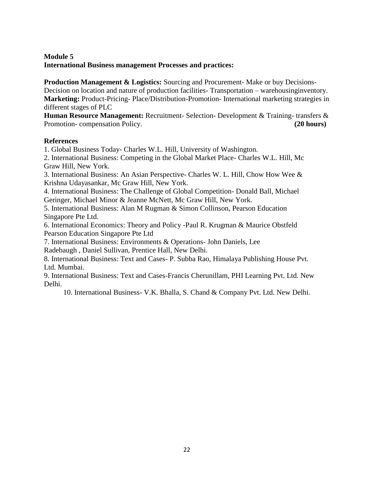# **Module 5 International Business management Processes and practices:**

**Production Management & Logistics:** Sourcing and Procurement- Make or buy Decisions-Decision on location and nature of production facilities- Transportation – warehousinginventory. **Marketing:** Product-Pricing- Place/Distribution-Promotion- International marketing strategies in different stages of PLC

**Human Resource Management:** Recruitment- Selection- Development & Training- transfers & Promotion- compensation Policy. **(20 hours)**

# **References**

1. Global Business Today- Charles W.L. Hill, University of Washington.

2. International Business: Competing in the Global Market Place- Charles W.L. Hill, Mc Graw Hill, New York.

3. International Business: An Asian Perspective- Charles W. L. Hill, Chow How Wee & Krishna Udayasankar, Mc Graw Hill, New York.

4. International Business: The Challenge of Global Competition- Donald Ball, Michael Geringer, Michael Minor & Jeanne McNett, Mc Graw Hill, New York.

5. International Business: Alan M Rugman & Simon Collinson, Pearson Education Singapore Pte Ltd.

6. International Economics: Theory and Policy -Paul R. Krugman & Maurice Obstfeld Pearson Education Singapore Pte Ltd

7. International Business: Environments & Operations- John Daniels, Lee

Radebaugh , Daniel Sullivan, Prentice Hall, New Delhi.

8. International Business: Text and Cases- P. Subba Rao, Himalaya Publishing House Pvt. Ltd. Mumbai.

9. International Business: Text and Cases-Francis Cherunillam, PHI Learning Pvt. Ltd. New Delhi.

10. International Business- V.K. Bhalla, S. Chand & Company Pvt. Ltd. New Delhi.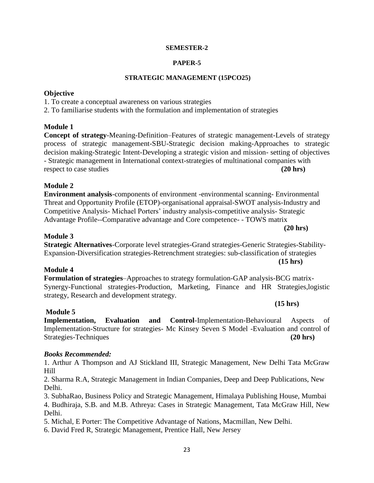# **SEMESTER-2**

# **PAPER-5**

# **STRATEGIC MANAGEMENT (15PCO25)**

# **Objective**

1. To create a conceptual awareness on various strategies

2. To familiarise students with the formulation and implementation of strategies

# **Module 1**

**Concept of strategy**-Meaning-Definition–Features of strategic management-Levels of strategy process of strategic management-SBU-Strategic decision making-Approaches to strategic decision making-Strategic Intent-Developing a strategic vision and mission- setting of objectives - Strategic management in International context-strategies of multinational companies with respect to case studies **(20 hrs)**

# **Module 2**

**Environment analysis**-components of environment -environmental scanning- Environmental Threat and Opportunity Profile (ETOP)-organisational appraisal-SWOT analysis-Industry and Competitive Analysis- Michael Porters' industry analysis-competitive analysis- Strategic Advantage Profile--Comparative advantage and Core competence- - TOWS matrix  **(20 hrs)**

# **Module 3**

# **Strategic Alternatives**-Corporate level strategies-Grand strategies-Generic Strategies-Stability-Expansion-Diversification strategies-Retrenchment strategies: sub-classification of strategies

# **Module 4**

**Formulation of strategies**–Approaches to strategy formulation-GAP analysis-BCG matrix-Synergy-Functional strategies-Production, Marketing, Finance and HR Strategies,logistic strategy, Research and development strategy.

# **Module 5**

**Implementation, Evaluation and Control**-Implementation-Behavioural Aspects of Implementation-Structure for strategies- Mc Kinsey Seven S Model -Evaluation and control of Strategies-Techniques **(20 hrs) (20 hrs) (20 hrs)** 

# *Books Recommended:*

1. Arthur A Thompson and AJ Stickland III, Strategic Management, New Delhi Tata McGraw Hill

2. Sharma R.A, Strategic Management in Indian Companies, Deep and Deep Publications, New Delhi.

3. SubhaRao, Business Policy and Strategic Management, Himalaya Publishing House, Mumbai 4. Budhiraja, S.B. and M.B. Athreya: Cases in Strategic Management, Tata McGraw Hill, New Delhi.

5. Michal, E Porter: The Competitive Advantage of Nations, Macmillan, New Delhi.

6. David Fred R, Strategic Management, Prentice Hall, New Jersey

# **(15 hrs)**

 **(15 hrs)**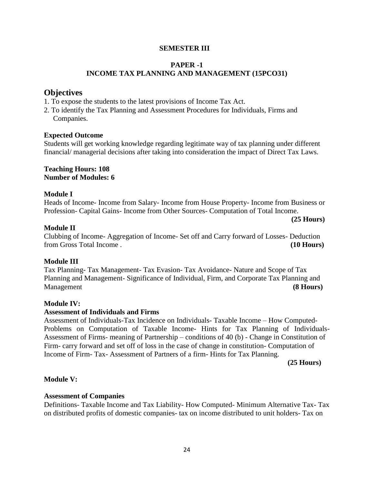# **SEMESTER III**

# **PAPER -1 INCOME TAX PLANNING AND MANAGEMENT (15PCO31)**

# **Objectives**

- 1. To expose the students to the latest provisions of Income Tax Act.
- 2. To identify the Tax Planning and Assessment Procedures for Individuals, Firms and Companies.

### **Expected Outcome**

Students will get working knowledge regarding legitimate way of tax planning under different financial/ managerial decisions after taking into consideration the impact of Direct Tax Laws.

#### **Teaching Hours: 108 Number of Modules: 6**

### **Module I**

Heads of Income- Income from Salary- Income from House Property- Income from Business or Profession- Capital Gains- Income from Other Sources- Computation of Total Income.

#### **(25 Hours) Module II**

Clubbing of Income- Aggregation of Income- Set off and Carry forward of Losses- Deduction from Gross Total Income . **(10 Hours)**

### **Module III**

Tax Planning- Tax Management- Tax Evasion- Tax Avoidance- Nature and Scope of Tax Planning and Management- Significance of Individual, Firm, and Corporate Tax Planning and Management **(8 Hours)**

### **Module IV:**

### **Assessment of Individuals and Firms**

Assessment of Individuals-Tax Incidence on Individuals- Taxable Income – How Computed-Problems on Computation of Taxable Income- Hints for Tax Planning of Individuals-Assessment of Firms- meaning of Partnership – conditions of 40 (b) - Change in Constitution of Firm- carry forward and set off of loss in the case of change in constitution- Computation of Income of Firm- Tax- Assessment of Partners of a firm- Hints for Tax Planning.

 **(25 Hours)**

# **Module V:**

### **Assessment of Companies**

Definitions- Taxable Income and Tax Liability- How Computed- Minimum Alternative Tax- Tax on distributed profits of domestic companies- tax on income distributed to unit holders- Tax on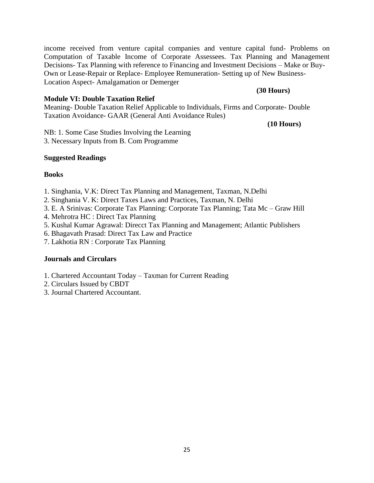income received from venture capital companies and venture capital fund- Problems on Computation of Taxable Income of Corporate Assessees. Tax Planning and Management Decisions- Tax Planning with reference to Financing and Investment Decisions – Make or Buy-Own or Lease-Repair or Replace- Employee Remuneration- Setting up of New Business-Location Aspect- Amalgamation or Demerger

#### **Module VI: Double Taxation Relief**

Meaning- Double Taxation Relief Applicable to Individuals, Firms and Corporate- Double Taxation Avoidance- GAAR (General Anti Avoidance Rules)

#### **(10 Hours)**

 **(30 Hours)**

NB: 1. Some Case Studies Involving the Learning 3. Necessary Inputs from B. Com Programme

#### **Suggested Readings**

#### **Books**

- 1. Singhania, V.K: Direct Tax Planning and Management, Taxman, N.Delhi
- 2. Singhania V. K: Direct Taxes Laws and Practices, Taxman, N. Delhi
- 3. E. A Srinivas: Corporate Tax Planning: Corporate Tax Planning; Tata Mc Graw Hill
- 4. Mehrotra HC : Direct Tax Planning
- 5. Kushal Kumar Agrawal: Direcct Tax Planning and Management; Atlantic Publishers
- 6. Bhagavath Prasad: Direct Tax Law and Practice
- 7. Lakhotia RN : Corporate Tax Planning

#### **Journals and Circulars**

- 1. Chartered Accountant Today Taxman for Current Reading
- 2. Circulars Issued by CBDT
- 3. Journal Chartered Accountant.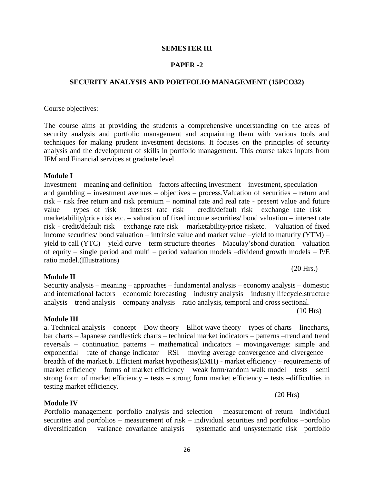# **SEMESTER III**

# **PAPER -2**

# **SECURITY ANALYSIS AND PORTFOLIO MANAGEMENT (15PCO32)**

Course objectives:

The course aims at providing the students a comprehensive understanding on the areas of security analysis and portfolio management and acquainting them with various tools and techniques for making prudent investment decisions. It focuses on the principles of security analysis and the development of skills in portfolio management. This course takes inputs from IFM and Financial services at graduate level.

#### **Module I**

Investment – meaning and definition – factors affecting investment – investment, speculation and gambling – investment avenues – objectives – process.Valuation of securities – return and risk – risk free return and risk premium – nominal rate and real rate - present value and future value – types of risk – interest rate risk – credit/default risk –exchange rate risk – marketability/price risk etc. – valuation of fixed income securities/ bond valuation – interest rate risk - credit/default risk – exchange rate risk – marketability/price risketc. – Valuation of fixed income securities/ bond valuation – intrinsic value and market value –yield to maturity (YTM) – yield to call (YTC) – yield curve – term structure theories – Maculay'sbond duration – valuation of equity – single period and multi – period valuation models –dividend growth models – P/E ratio model.(Illustrations)

(20 Hrs.)

### **Module II**

# and international factors – economic forecasting – industry analysis – industry lifecycle.structure analysis – trend analysis – company analysis – ratio analysis, temporal and cross sectional.

**Module III**

a. Technical analysis – concept – Dow theory – Elliot wave theory – types of charts – linecharts, bar charts – Japanese candlestick charts – technical market indicators – patterns –trend and trend reversals – continuation patterns – mathematical indicators – movingaverage: simple and exponential – rate of change indicator – RSI – moving average convergence and divergence – breadth of the market.b. Efficient market hypothesis(EMH) - market efficiency – requirements of market efficiency – forms of market efficiency – weak form/random walk model – tests – semi strong form of market efficiency – tests – strong form market efficiency – tests –difficulties in testing market efficiency.

**Module IV**

Portfolio management: portfolio analysis and selection – measurement of return –individual securities and portfolios – measurement of risk – individual securities and portfolios –portfolio diversification – variance covariance analysis – systematic and unsystematic risk –portfolio

Security analysis – meaning – approaches – fundamental analysis – economy analysis – domestic

(10 Hrs)

(20 Hrs)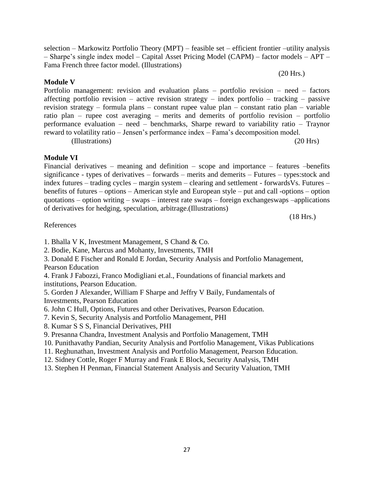selection – Markowitz Portfolio Theory (MPT) – feasible set – efficient frontier –utility analysis – Sharpe's single index model – Capital Asset Pricing Model (CAPM) – factor models – APT – Fama French three factor model. (Illustrations)

(20 Hrs.)

# **Module V**

Portfolio management: revision and evaluation plans – portfolio revision – need – factors affecting portfolio revision – active revision strategy – index portfolio – tracking – passive revision strategy – formula plans – constant rupee value plan – constant ratio plan – variable ratio plan – rupee cost averaging – merits and demerits of portfolio revision – portfolio performance evaluation – need – benchmarks, Sharpe reward to variability ratio – Traynor reward to volatility ratio – Jensen's performance index – Fama's decomposition model. (Illustrations) (20 Hrs)

# **Module VI**

Financial derivatives – meaning and definition – scope and importance – features –benefits significance - types of derivatives – forwards – merits and demerits – Futures – types:stock and index futures – trading cycles – margin system – clearing and settlement - forwardsVs. Futures – benefits of futures – options – American style and European style – put and call -options – option quotations – option writing – swaps – interest rate swaps – foreign exchangeswaps –applications of derivatives for hedging, speculation, arbitrage.(Illustrations)

(18 Hrs.)

### References

1. Bhalla V K, Investment Management, S Chand & Co.

2. Bodie, Kane, Marcus and Mohanty, Investments, TMH

3. Donald E Fischer and Ronald E Jordan, Security Analysis and Portfolio Management, Pearson Education

4. Frank J Fabozzi, Franco Modigliani et.al., Foundations of financial markets and institutions, Pearson Education.

5. Gorden J Alexander, William F Sharpe and Jeffry V Baily, Fundamentals of Investments, Pearson Education

6. John C Hull, Options, Futures and other Derivatives, Pearson Education.

7. Kevin S, Security Analysis and Portfolio Management, PHI

8. Kumar S S S, Financial Derivatives, PHI

9. Presanna Chandra, Investment Analysis and Portfolio Management, TMH

- 10. Punithavathy Pandian, Security Analysis and Portfolio Management, Vikas Publications
- 11. Reghunathan, Investment Analysis and Portfolio Management, Pearson Education.
- 12. Sidney Cottle, Roger F Murray and Frank E Block, Security Analysis, TMH
- 13. Stephen H Penman, Financial Statement Analysis and Security Valuation, TMH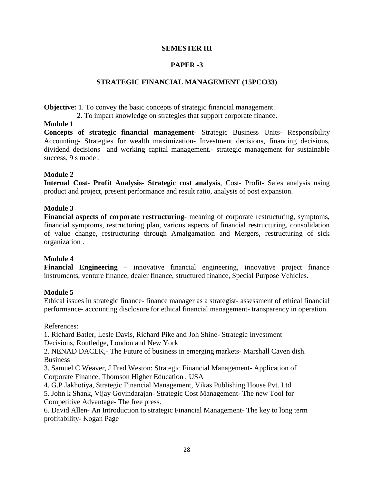# **SEMESTER III**

# **PAPER -3**

# **STRATEGIC FINANCIAL MANAGEMENT (15PCO33)**

**Objective:** 1. To convey the basic concepts of strategic financial management.

2. To impart knowledge on strategies that support corporate finance.

# **Module 1**

**Concepts of strategic financial management**- Strategic Business Units- Responsibility Accounting- Strategies for wealth maximization- Investment decisions, financing decisions, dividend decisions and working capital management.- strategic management for sustainable success, 9 s model.

# **Module 2**

**Internal Cost- Profit Analysis- Strategic cost analysis**, Cost- Profit- Sales analysis using product and project, present performance and result ratio, analysis of post expansion.

# **Module 3**

**Financial aspects of corporate restructuring**- meaning of corporate restructuring, symptoms, financial symptoms, restructuring plan, various aspects of financial restructuring, consolidation of value change, restructuring through Amalgamation and Mergers, restructuring of sick organization .

### **Module 4**

**Financial Engineering** – innovative financial engineering, innovative project finance instruments, venture finance, dealer finance, structured finance, Special Purpose Vehicles.

# **Module 5**

Ethical issues in strategic finance- finance manager as a strategist- assessment of ethical financial performance- accounting disclosure for ethical financial management- transparency in operation

### References:

1. Richard Batler, Lesle Davis, Richard Pike and Joh Shine- Strategic Investment Decisions, Routledge, London and New York

2. NENAD DACEK,- The Future of business in emerging markets- Marshall Caven dish. Business

3. Samuel C Weaver, J Fred Weston: Strategic Financial Management- Application of Corporate Finance, Thomson Higher Education , USA

4. G.P Jakhotiya, Strategic Financial Management, Vikas Publishing House Pvt. Ltd.

5. John k Shank, Vijay Govindarajan- Strategic Cost Management- The new Tool for Competitive Advantage- The free press.

6. David Allen- An Introduction to strategic Financial Management- The key to long term profitability- Kogan Page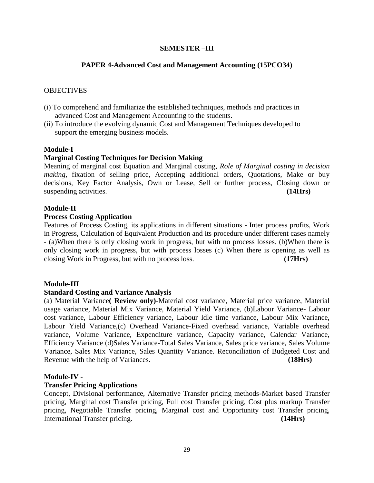# **SEMESTER –III**

# **PAPER 4-Advanced Cost and Management Accounting (15PCO34)**

#### **OBJECTIVES**

- (i) To comprehend and familiarize the established techniques, methods and practices in advanced Cost and Management Accounting to the students.
- (ii) To introduce the evolving dynamic Cost and Management Techniques developed to support the emerging business models.

#### **Module-I**

#### **Marginal Costing Techniques for Decision Making**

Meaning of marginal cost Equation and Marginal costing, *Role of Marginal costing in decision making*, fixation of selling price, Accepting additional orders, Quotations, Make or buy decisions, Key Factor Analysis, Own or Lease, Sell or further process, Closing down or suspending activities. **(14Hrs)** (14Hrs)

#### **Module-II**

#### **Process Costing Application**

Features of Process Costing, its applications in different situations - Inter process profits, Work in Progress, Calculation of Equivalent Production and its procedure under different cases namely - (a)When there is only closing work in progress, but with no process losses. (b)When there is only closing work in progress, but with process losses (c) When there is opening as well as closing Work in Progress, but with no process loss. **(17Hrs)**

#### **Module-III**

#### **Standard Costing and Variance Analysis**

(a) Material Variance**( Review only)**-Material cost variance, Material price variance, Material usage variance, Material Mix Variance, Material Yield Variance, (b)Labour Variance- Labour cost variance, Labour Efficiency variance, Labour Idle time variance, Labour Mix Variance, Labour Yield Variance,(c) Overhead Variance-Fixed overhead variance, Variable overhead variance, Volume Variance, Expenditure variance, Capacity variance, Calendar Variance, Efficiency Variance (d)Sales Variance-Total Sales Variance, Sales price variance, Sales Volume Variance, Sales Mix Variance, Sales Quantity Variance. Reconciliation of Budgeted Cost and Revenue with the help of Variances. **(18Hrs)**

#### **Module-IV -**

#### **Transfer Pricing Applications**

Concept, Divisional performance, Alternative Transfer pricing methods-Market based Transfer pricing, Marginal cost Transfer pricing, Full cost Transfer pricing, Cost plus markup Transfer pricing, Negotiable Transfer pricing, Marginal cost and Opportunity cost Transfer pricing, International Transfer pricing. **(14Hrs)**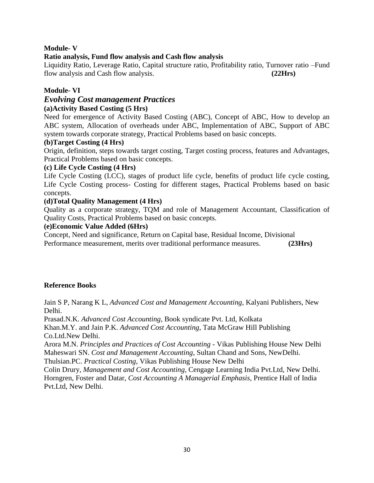# **Module- V**

# **Ratio analysis, Fund flow analysis and Cash flow analysis**

Liquidity Ratio, Leverage Ratio, Capital structure ratio, Profitability ratio, Turnover ratio –Fund flow analysis and Cash flow analysis. **(22Hrs)**

# **Module- VI**

# *Evolving Cost management Practices*

# **(a)Activity Based Costing (5 Hrs)**

Need for emergence of Activity Based Costing (ABC), Concept of ABC, How to develop an ABC system, Allocation of overheads under ABC, Implementation of ABC, Support of ABC system towards corporate strategy, Practical Problems based on basic concepts.

#### **(b)Target Costing (4 Hrs)**

Origin, definition, steps towards target costing, Target costing process, features and Advantages, Practical Problems based on basic concepts.

#### **(c) Life Cycle Costing (4 Hrs)**

Life Cycle Costing (LCC), stages of product life cycle, benefits of product life cycle costing, Life Cycle Costing process- Costing for different stages, Practical Problems based on basic concepts.

### **(d)Total Quality Management (4 Hrs)**

Quality as a corporate strategy, TQM and role of Management Accountant, Classification of Quality Costs, Practical Problems based on basic concepts.

#### **(e)Economic Value Added (6Hrs)**

Concept, Need and significance, Return on Capital base, Residual Income, Divisional Performance measurement, merits over traditional performance measures. **(23Hrs)**

### **Reference Books**

Jain S P, Narang K L, *Advanced Cost and Management Accounting,* Kalyani Publishers, New Delhi.

Prasad.N.K. *Advanced Cost Accounting*, Book syndicate Pvt. Ltd, Kolkata

Khan.M.Y. and Jain P.K. *Advanced Cost Accounting*, Tata McGraw Hill Publishing Co.Ltd.New Delhi.

Arora M.N. *Principles and Practices of Cost Accounting* - Vikas Publishing House New Delhi Maheswari SN. *Cost and Management Accounting*, Sultan Chand and Sons, NewDelhi.

Thulsian.PC. *Practical Costing*, Vikas Publishing House New Delhi

Colin Drury, *Management and Cost Accounting*, Cengage Learning India Pvt.Ltd, New Delhi. Horngren, Foster and Datar, *Cost Accounting A Managerial Emphasis*, Prentice Hall of India Pvt.Ltd, New Delhi.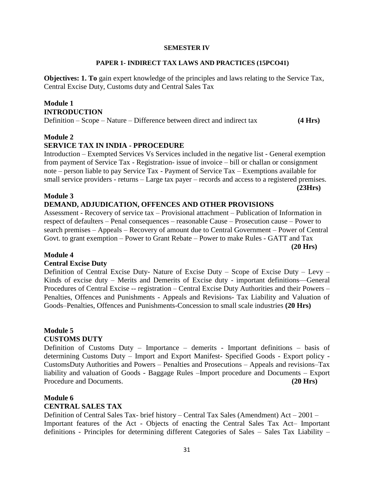#### **SEMESTER IV**

#### **PAPER 1- INDIRECT TAX LAWS AND PRACTICES (15PCO41)**

**Objectives: 1. To** gain expert knowledge of the principles and laws relating to the Service Tax, Central Excise Duty, Customs duty and Central Sales Tax

# **Module 1 INTRODUCTION**

Definition – Scope – Nature – Difference between direct and indirect tax **(4 Hrs)**

### **Module 2**

### **SERVICE TAX IN INDIA - PPROCEDURE**

Introduction – Exempted Services Vs Services included in the negative list - General exemption from payment of Service Tax - Registration- issue of invoice – bill or challan or consignment note – person liable to pay Service Tax - Payment of Service Tax – Exemptions available for small service providers - returns – Large tax payer – records and access to a registered premises.  **(23Hrs)**

#### **Module 3 DEMAND, ADJUDICATION, OFFENCES AND OTHER PROVISIONS**

Assessment - Recovery of service tax – Provisional attachment – Publication of Information in respect of defaulters – Penal consequences – reasonable Cause – Prosecution cause – Power to search premises – Appeals – Recovery of amount due to Central Government – Power of Central Govt. to grant exemption – Power to Grant Rebate – Power to make Rules - GATT and Tax  **(20 Hrs)**

# **Module 4**

### **Central Excise Duty**

Definition of Central Excise Duty- Nature of Excise Duty – Scope of Excise Duty – Levy – Kinds of excise duty – Merits and Demerits of Excise duty - important definitions—General Procedures of Central Excise -- registration – Central Excise Duty Authorities and their Powers – Penalties, Offences and Punishments - Appeals and Revisions- Tax Liability and Valuation of Goods–Penalties, Offences and Punishments-Concession to small scale industries **(20 Hrs)**

# **Module 5**

#### **CUSTOMS DUTY**

Definition of Customs Duty – Importance – demerits - Important definitions – basis of determining Customs Duty – Import and Export Manifest- Specified Goods - Export policy - CustomsDuty Authorities and Powers – Penalties and Prosecutions – Appeals and revisions–Tax liability and valuation of Goods - Baggage Rules –Import procedure and Documents – Export Procedure and Documents. **(20 Hrs)**

#### **Module 6 CENTRAL SALES TAX**

Definition of Central Sales Tax- brief history – Central Tax Sales (Amendment) Act – 2001 – Important features of the Act - Objects of enacting the Central Sales Tax Act– Important definitions - Principles for determining different Categories of Sales – Sales Tax Liability –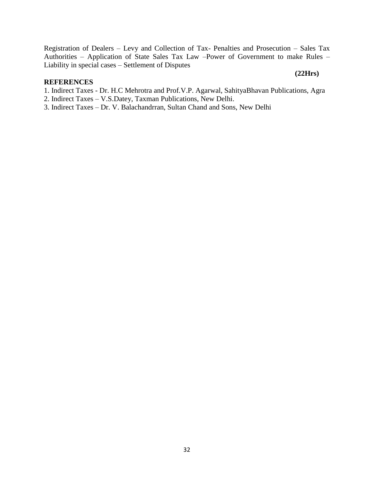Registration of Dealers – Levy and Collection of Tax- Penalties and Prosecution – Sales Tax Authorities – Application of State Sales Tax Law –Power of Government to make Rules – Liability in special cases – Settlement of Disputes

#### **REFERENCES**

1. Indirect Taxes - Dr. H.C Mehrotra and Prof.V.P. Agarwal, SahityaBhavan Publications, Agra

 **(22Hrs)**

- 2. Indirect Taxes V.S.Datey, Taxman Publications, New Delhi.
- 3. Indirect Taxes Dr. V. Balachandrran, Sultan Chand and Sons, New Delhi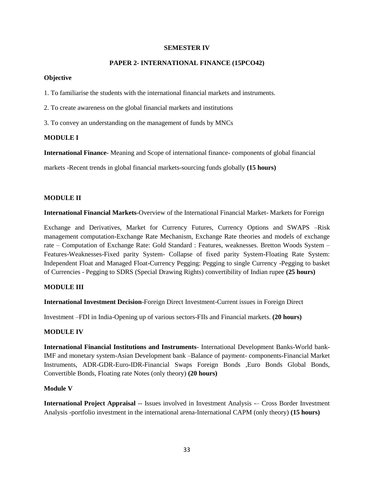#### **SEMESTER IV**

#### **PAPER 2- INTERNATIONAL FINANCE (15PCO42)**

#### **Objective**

1. To familiarise the students with the international financial markets and instruments.

2. To create awareness on the global financial markets and institutions

3. To convey an understanding on the management of funds by MNCs

#### **MODULE I**

**International Finance**- Meaning and Scope of international finance- components of global financial

markets -Recent trends in global financial markets-sourcing funds globally **(15 hours)**

#### **MODULE II**

**International Financial Markets**-Overview of the International Financial Market- Markets for Foreign

Exchange and Derivatives, Market for Currency Futures, Currency Options and SWAPS –Risk management computation-Exchange Rate Mechanism, Exchange Rate theories and models of exchange rate – Computation of Exchange Rate: Gold Standard : Features, weaknesses. Bretton Woods System – Features-Weaknesses-Fixed parity System- Collapse of fixed parity System-Floating Rate System: Independent Float and Managed Float-Currency Pegging: Pegging to single Currency -Pegging to basket of Currencies - Pegging to SDRS (Special Drawing Rights) convertibility of Indian rupee **(25 hours)**

#### **MODULE III**

**International Investment Decision**-Foreign Direct Investment-Current issues in Foreign Direct

Investment –FDI in India-Opening up of various sectors-FIIs and Financial markets. **(20 hours)**

#### **MODULE IV**

**International Financial Institutions and Instruments**- International Development Banks-World bank-IMF and monetary system-Asian Development bank –Balance of payment- components-Financial Market Instruments, ADR-GDR-Euro-IDR-Financial Swaps Foreign Bonds ,Euro Bonds Global Bonds, Convertible Bonds, Floating rate Notes (only theory) **(20 hours)**

#### **Module V**

**International Project Appraisal --** Issues involved in Investment Analysis -- Cross Border Investment Analysis -portfolio investment in the international arena-International CAPM (only theory) **(15 hours)**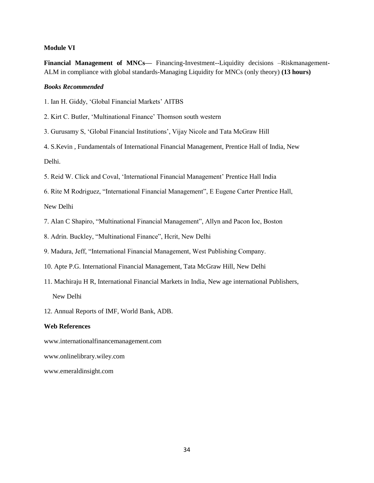#### **Module VI**

**Financial Management of MNCs—** Financing-Investment--Liquidity decisions -Riskmanagement-ALM in compliance with global standards-Managing Liquidity for MNCs (only theory) **(13 hours)**

#### *Books Recommended*

1. Ian H. Giddy, 'Global Financial Markets' AITBS

- 2. Kirt C. Butler, 'Multinational Finance' Thomson south western
- 3. Gurusamy S, 'Global Financial Institutions', Vijay Nicole and Tata McGraw Hill
- 4. S.Kevin , Fundamentals of International Financial Management, Prentice Hall of India, New Delhi.
- 5. Reid W. Click and Coval, 'International Financial Management' Prentice Hall India
- 6. Rite M Rodriguez, "International Financial Management", E Eugene Carter Prentice Hall,

New Delhi

- 7. Alan C Shapiro, "Multinational Financial Management", Allyn and Pacon Ioc, Boston
- 8. Adrin. Buckley, "Multinational Finance", Hcrit, New Delhi
- 9. Madura, Jeff, "International Financial Management, West Publishing Company.
- 10. Apte P.G. International Financial Management, Tata McGraw Hill, New Delhi
- 11. Machiraju H R, International Financial Markets in India, New age international Publishers, New Delhi
- 12. Annual Reports of IMF, World Bank, ADB.

#### **Web References**

www.internationalfinancemanagement.com

www.onlinelibrary.wiley.com

www.emeraldinsight.com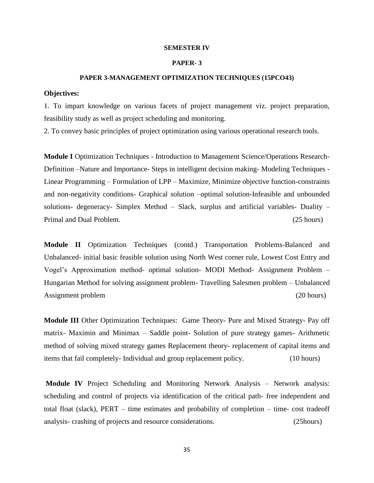#### **SEMESTER IV**

#### **PAPER- 3**

#### **PAPER 3-MANAGEMENT OPTIMIZATION TECHNIQUES (15PCO43)**

#### **Objectives:**

1. To impart knowledge on various facets of project management viz. project preparation, feasibility study as well as project scheduling and monitoring.

2. To convey basic principles of project optimization using various operational research tools.

**Module I** Optimization Techniques - Introduction to Management Science/Operations Research-Definition –Nature and Importance- Steps in intelligent decision making- Modeling Techniques - Linear Programming – Formulation of LPP – Maximize, Minimize objective function-constraints and non-negativity conditions- Graphical solution –optimal solution-Infeasible and unbounded solutions- degeneracy- Simplex Method – Slack, surplus and artificial variables- Duality – Primal and Dual Problem. (25 hours)

**Module II** Optimization Techniques (contd.) Transportation Problems-Balanced and Unbalanced- initial basic feasible solution using North West corner rule, Lowest Cost Entry and Vogel's Approximation method- optimal solution- MODI Method- Assignment Problem – Hungarian Method for solving assignment problem- Travelling Salesmen problem – Unbalanced Assignment problem (20 hours) (20 hours)

**Module III** Other Optimization Techniques: Game Theory- Pure and Mixed Strategy- Pay off matrix- Maximin and Minimax – Saddle point- Solution of pure strategy games- Arithmetic method of solving mixed strategy games Replacement theory- replacement of capital items and items that fail completely- Individual and group replacement policy. (10 hours)

**Module IV** Project Scheduling and Monitoring Network Analysis – Network analysis: scheduling and control of projects via identification of the critical path- free independent and total float (slack), PERT – time estimates and probability of completion – time- cost tradeoff analysis- crashing of projects and resource considerations. (25hours)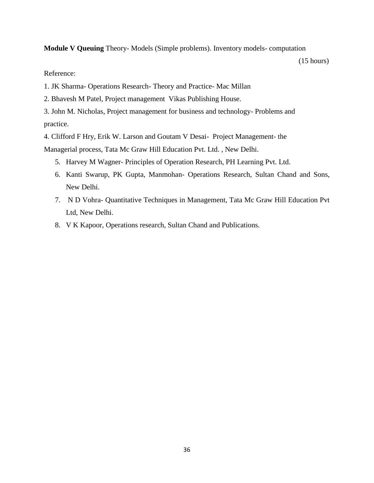**Module V Queuing** Theory- Models (Simple problems). Inventory models- computation

(15 hours)

### Reference:

- 1. JK Sharma- Operations Research- Theory and Practice- Mac Millan
- 2. Bhavesh M Patel, Project management Vikas Publishing House.
- 3. John M. Nicholas, Project management for business and technology- Problems and practice.

4. Clifford F Hry, Erik W. Larson and Goutam V Desai- Project Management- the

Managerial process, Tata Mc Graw Hill Education Pvt. Ltd. , New Delhi.

- 5. Harvey M Wagner- Principles of Operation Research, PH Learning Pvt. Ltd.
- 6. Kanti Swarup, PK Gupta, Manmohan- Operations Research, Sultan Chand and Sons, New Delhi.
- 7. N D Vohra- Quantitative Techniques in Management, Tata Mc Graw Hill Education Pvt Ltd, New Delhi.
- 8. V K Kapoor, Operations research, Sultan Chand and Publications.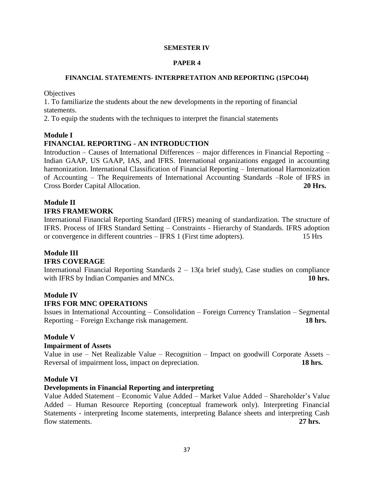#### **SEMESTER IV**

#### **PAPER 4**

#### **FINANCIAL STATEMENTS- INTERPRETATION AND REPORTING (15PCO44)**

**Objectives** 

1. To familiarize the students about the new developments in the reporting of financial statements.

2. To equip the students with the techniques to interpret the financial statements

#### **Module I**

### **FINANCIAL REPORTING - AN INTRODUCTION**

Introduction – Causes of International Differences – major differences in Financial Reporting – Indian GAAP, US GAAP, IAS, and IFRS. International organizations engaged in accounting harmonization. International Classification of Financial Reporting – International Harmonization of Accounting – The Requirements of International Accounting Standards –Role of IFRS in Cross Border Capital Allocation. **20 Hrs.**

# **Module II**

#### **IFRS FRAMEWORK**

International Financial Reporting Standard (IFRS) meaning of standardization. The structure of IFRS. Process of IFRS Standard Setting – Constraints - Hierarchy of Standards. IFRS adoption or convergence in different countries – IFRS 1 (First time adopters). 15 Hrs

# **Module III**

### **IFRS COVERAGE**

International Financial Reporting Standards  $2 - 13$ (a brief study), Case studies on compliance with IFRS by Indian Companies and MNCs. **10 hrs. 10 hrs.** 

### **Module IV**

### **IFRS FOR MNC OPERATIONS**

Issues in International Accounting – Consolidation – Foreign Currency Translation – Segmental Reporting – Foreign Exchange risk management. **18 hrs.**

### **Module V**

#### **Impairment of Assets**

Value in use – Net Realizable Value – Recognition – Impact on goodwill Corporate Assets – Reversal of impairment loss, impact on depreciation. **18 hrs.**

#### **Module VI**

### **Developments in Financial Reporting and interpreting**

Value Added Statement – Economic Value Added – Market Value Added – Shareholder's Value Added – Human Resource Reporting (conceptual framework only). Interpreting Financial Statements - interpreting Income statements, interpreting Balance sheets and interpreting Cash flow statements. **27 hrs.**